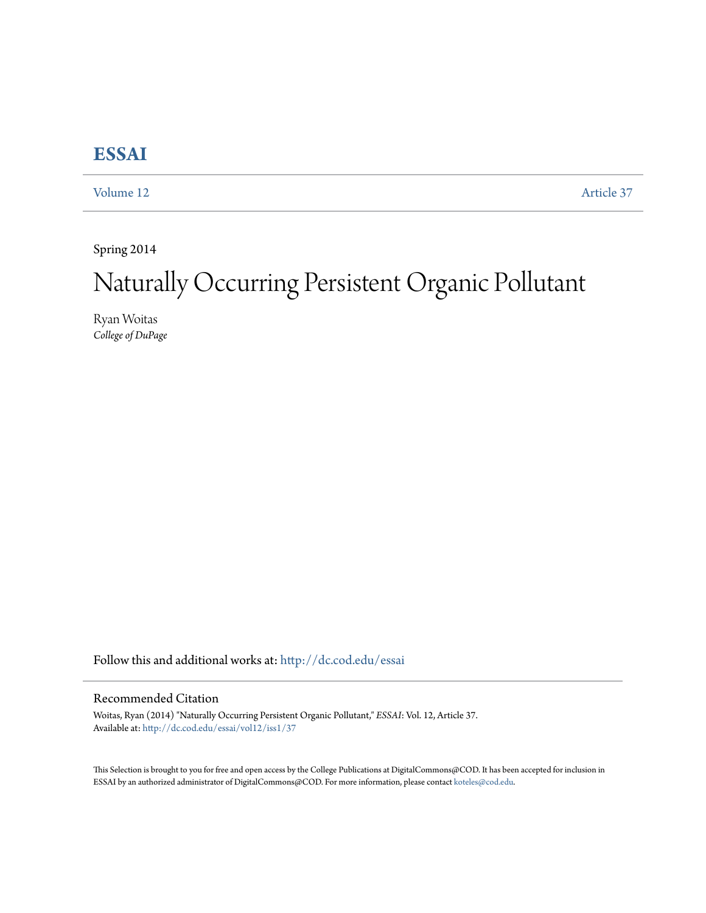## **[ESSAI](http://dc.cod.edu/essai?utm_source=dc.cod.edu%2Fessai%2Fvol12%2Fiss1%2F37&utm_medium=PDF&utm_campaign=PDFCoverPages)**

[Volume 12](http://dc.cod.edu/essai/vol12?utm_source=dc.cod.edu%2Fessai%2Fvol12%2Fiss1%2F37&utm_medium=PDF&utm_campaign=PDFCoverPages) [Article 37](http://dc.cod.edu/essai/vol12/iss1/37?utm_source=dc.cod.edu%2Fessai%2Fvol12%2Fiss1%2F37&utm_medium=PDF&utm_campaign=PDFCoverPages)

Spring 2014

# Naturally Occurring Persistent Organic Pollutant

Ryan Woitas *College of DuPage*

Follow this and additional works at: [http://dc.cod.edu/essai](http://dc.cod.edu/essai?utm_source=dc.cod.edu%2Fessai%2Fvol12%2Fiss1%2F37&utm_medium=PDF&utm_campaign=PDFCoverPages)

#### Recommended Citation

Woitas, Ryan (2014) "Naturally Occurring Persistent Organic Pollutant," *ESSAI*: Vol. 12, Article 37. Available at: [http://dc.cod.edu/essai/vol12/iss1/37](http://dc.cod.edu/essai/vol12/iss1/37?utm_source=dc.cod.edu%2Fessai%2Fvol12%2Fiss1%2F37&utm_medium=PDF&utm_campaign=PDFCoverPages)

This Selection is brought to you for free and open access by the College Publications at DigitalCommons@COD. It has been accepted for inclusion in ESSAI by an authorized administrator of DigitalCommons@COD. For more information, please contact [koteles@cod.edu](mailto:koteles@cod.edu).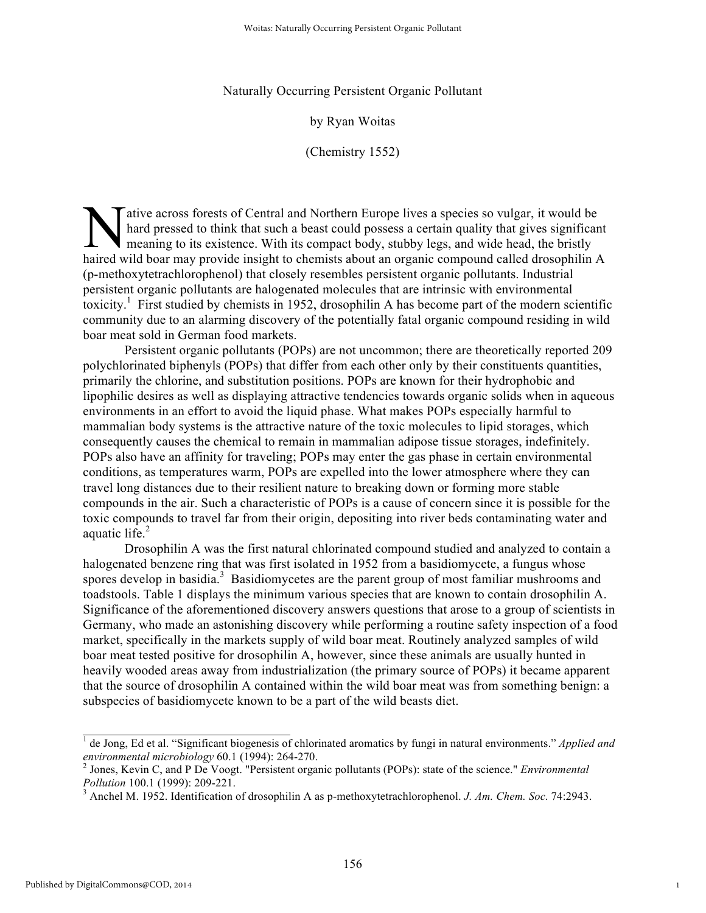Naturally Occurring Persistent Organic Pollutant

#### by Ryan Woitas

(Chemistry 1552)

ative across forests of Central and Northern Europe lives a species so vulgar, it would be hard pressed to think that such a beast could possess a certain quality that gives significant meaning to its existence. With its compact body, stubby legs, and wide head, the bristly A alive across forests of Central and Northern Europe lives a species so vulgar, it would be hard pressed to think that such a beast could possess a certain quality that gives significant meaning to its existence. With its (p-methoxytetrachlorophenol) that closely resembles persistent organic pollutants. Industrial persistent organic pollutants are halogenated molecules that are intrinsic with environmental toxicity.<sup>1</sup> First studied by chemists in 1952, drosophilin A has become part of the modern scientific community due to an alarming discovery of the potentially fatal organic compound residing in wild boar meat sold in German food markets.

Persistent organic pollutants (POPs) are not uncommon; there are theoretically reported 209 polychlorinated biphenyls (POPs) that differ from each other only by their constituents quantities, primarily the chlorine, and substitution positions. POPs are known for their hydrophobic and lipophilic desires as well as displaying attractive tendencies towards organic solids when in aqueous environments in an effort to avoid the liquid phase. What makes POPs especially harmful to mammalian body systems is the attractive nature of the toxic molecules to lipid storages, which consequently causes the chemical to remain in mammalian adipose tissue storages, indefinitely. POPs also have an affinity for traveling; POPs may enter the gas phase in certain environmental conditions, as temperatures warm, POPs are expelled into the lower atmosphere where they can travel long distances due to their resilient nature to breaking down or forming more stable compounds in the air. Such a characteristic of POPs is a cause of concern since it is possible for the toxic compounds to travel far from their origin, depositing into river beds contaminating water and aquatic life. $2$ 

Drosophilin A was the first natural chlorinated compound studied and analyzed to contain a halogenated benzene ring that was first isolated in 1952 from a basidiomycete, a fungus whose spores develop in basidia.<sup>3</sup> Basidiomycetes are the parent group of most familiar mushrooms and toadstools. Table 1 displays the minimum various species that are known to contain drosophilin A. Significance of the aforementioned discovery answers questions that arose to a group of scientists in Germany, who made an astonishing discovery while performing a routine safety inspection of a food market, specifically in the markets supply of wild boar meat. Routinely analyzed samples of wild boar meat tested positive for drosophilin A, however, since these animals are usually hunted in heavily wooded areas away from industrialization (the primary source of POPs) it became apparent that the source of drosophilin A contained within the wild boar meat was from something benign: a subspecies of basidiomycete known to be a part of the wild beasts diet.

1

<sup>&</sup>lt;sup>1</sup> de Jong, Ed et al. "Significant biogenesis of chlorinated aromatics by fungi in natural environments." *Applied and environmental microbiology* 60.1 (1994): 264-270. <sup>2</sup>

<sup>&</sup>lt;sup>2</sup> Jones, Kevin C, and P De Voogt. "Persistent organic pollutants (POPs): state of the science." *Environmental Pollution* 100.1 (1999): 209-221.

Anchel M. 1952. Identification of drosophilin A as p-methoxytetrachlorophenol. *J. Am. Chem. Soc.* 74:2943.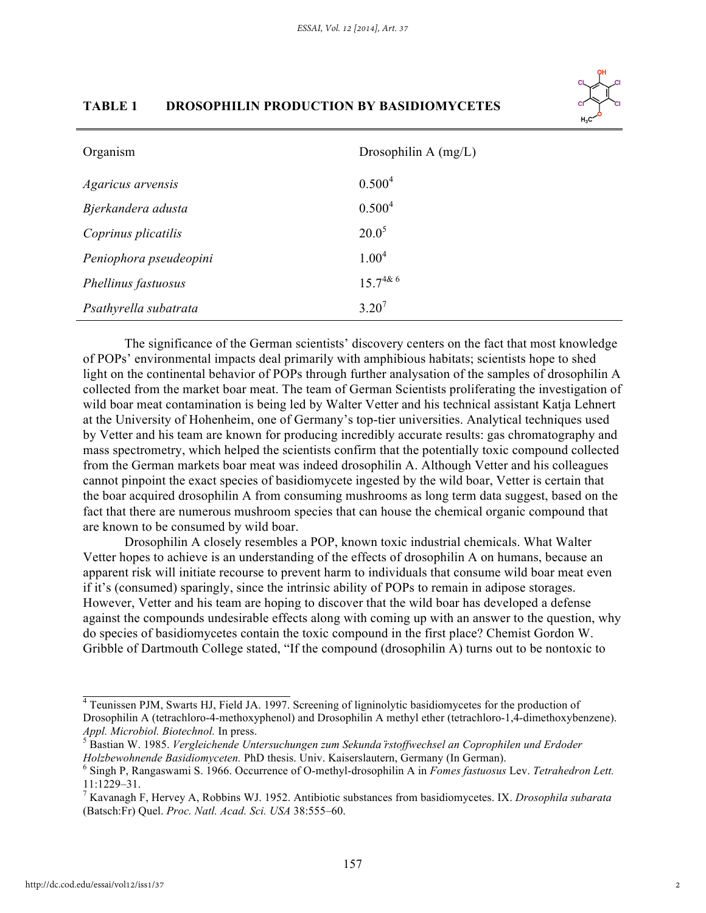

### **TABLE 1 DROSOPHILIN PRODUCTION BY BASIDIOMYCETES**

| Organism               | Drosophilin A $(mg/L)$ |
|------------------------|------------------------|
| Agaricus arvensis      | 0.500 <sup>4</sup>     |
| Bjerkandera adusta     | 0.500 <sup>4</sup>     |
| Coprinus plicatilis    | $20.0^5$               |
| Peniophora pseudeopini | 1.00 <sup>4</sup>      |
| Phellinus fastuosus    | $15.7^{48.6}$          |
| Psathyrella subatrata  | $3.20^{7}$             |

The significance of the German scientists' discovery centers on the fact that most knowledge of POPs' environmental impacts deal primarily with amphibious habitats; scientists hope to shed light on the continental behavior of POPs through further analysation of the samples of drosophilin A collected from the market boar meat. The team of German Scientists proliferating the investigation of wild boar meat contamination is being led by Walter Vetter and his technical assistant Katja Lehnert at the University of Hohenheim, one of Germany's top-tier universities. Analytical techniques used by Vetter and his team are known for producing incredibly accurate results: gas chromatography and mass spectrometry, which helped the scientists confirm that the potentially toxic compound collected from the German markets boar meat was indeed drosophilin A. Although Vetter and his colleagues cannot pinpoint the exact species of basidiomycete ingested by the wild boar, Vetter is certain that the boar acquired drosophilin A from consuming mushrooms as long term data suggest, based on the fact that there are numerous mushroom species that can house the chemical organic compound that are known to be consumed by wild boar.

Drosophilin A closely resembles a POP, known toxic industrial chemicals. What Walter Vetter hopes to achieve is an understanding of the effects of drosophilin A on humans, because an apparent risk will initiate recourse to prevent harm to individuals that consume wild boar meat even if it's (consumed) sparingly, since the intrinsic ability of POPs to remain in adipose storages. However, Vetter and his team are hoping to discover that the wild boar has developed a defense against the compounds undesirable effects along with coming up with an answer to the question, why do species of basidiomycetes contain the toxic compound in the first place? Chemist Gordon W. Gribble of Dartmouth College stated, "If the compound (drosophilin A) turns out to be nontoxic to

<sup>&</sup>lt;sup>4</sup> Teunissen PJM, Swarts HJ, Field JA. 1997. Screening of ligninolytic basidiomycetes for the production of Drosophilin A (tetrachloro-4-methoxyphenol) and Drosophilin A methyl ether (tetrachloro-1,4-dimethoxybenzene). *Appl. Microbiol. Biotechnol.* In press.

Bastian W. 1985. *Vergleichende Untersuchungen zum Sekunda ̈rstoffwechsel an Coprophilen und Erdoder Holzbewohnende Basidiomyceten.* PhD thesis. Univ. Kaiserslautern, Germany (In German).

Singh P, Rangaswami S. 1966. Occurrence of O-methyl-drosophilin A in *Fomes fastuosus* Lev. *Tetrahedron Lett.*  11:1229–31. <sup>7</sup>

Kavanagh F, Hervey A, Robbins WJ. 1952. Antibiotic substances from basidiomycetes. IX. *Drosophila subarata*  (Batsch:Fr) Quel. *Proc. Natl. Acad. Sci. USA* 38:555–60.